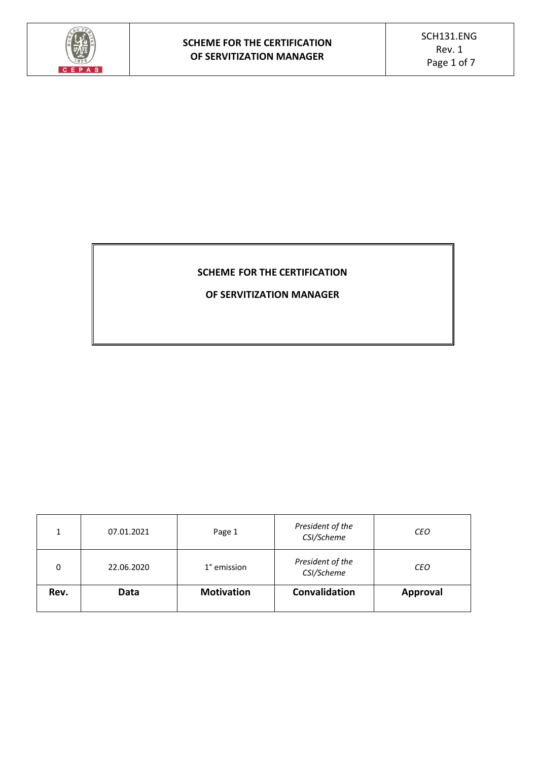

# **SCHEME FOR THE CERTIFICATION**

**OF SERVITIZATION MANAGER**

| 1    | 07.01.2021 | Page 1            | President of the<br>CSI/Scheme | <b>CEO</b> |
|------|------------|-------------------|--------------------------------|------------|
| 0    | 22.06.2020 | 1° emission       | President of the<br>CSI/Scheme | <b>CEO</b> |
| Rev. | Data       | <b>Motivation</b> | Convalidation                  | Approval   |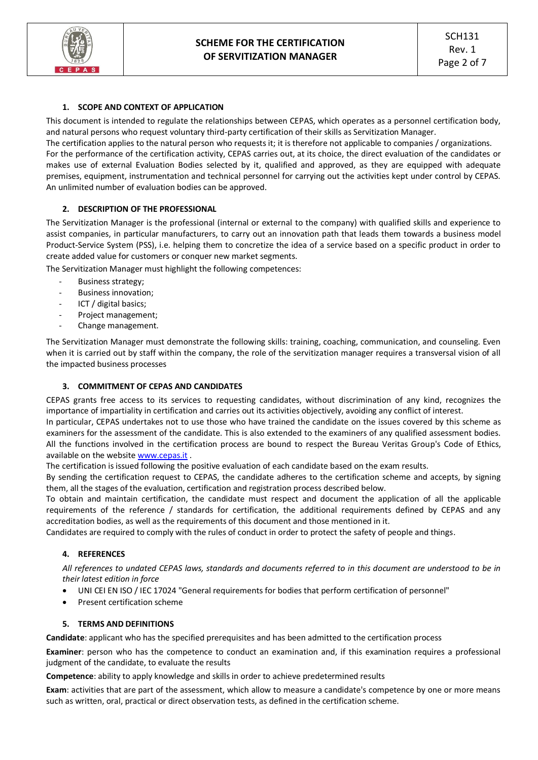## **1. SCOPE AND CONTEXT OF APPLICATION**

This document is intended to regulate the relationships between CEPAS, which operates as a personnel certification body, and natural persons who request voluntary third-party certification of their skills as Servitization Manager.

The certification applies to the natural person who requests it; it is therefore not applicable to companies / organizations. For the performance of the certification activity, CEPAS carries out, at its choice, the direct evaluation of the candidates or makes use of external Evaluation Bodies selected by it, qualified and approved, as they are equipped with adequate premises, equipment, instrumentation and technical personnel for carrying out the activities kept under control by CEPAS. An unlimited number of evaluation bodies can be approved.

#### **2. DESCRIPTION OF THE PROFESSIONAL**

The Servitization Manager is the professional (internal or external to the company) with qualified skills and experience to assist companies, in particular manufacturers, to carry out an innovation path that leads them towards a business model Product-Service System (PSS), i.e. helping them to concretize the idea of a service based on a specific product in order to create added value for customers or conquer new market segments.

The Servitization Manager must highlight the following competences:

- Business strategy;
- Business innovation;
- ICT / digital basics;
- Project management;
- Change management.

The Servitization Manager must demonstrate the following skills: training, coaching, communication, and counseling. Even when it is carried out by staff within the company, the role of the servitization manager requires a transversal vision of all the impacted business processes

#### **3. COMMITMENT OF CEPAS AND CANDIDATES**

CEPAS grants free access to its services to requesting candidates, without discrimination of any kind, recognizes the importance of impartiality in certification and carries out its activities objectively, avoiding any conflict of interest.

In particular, CEPAS undertakes not to use those who have trained the candidate on the issues covered by this scheme as examiners for the assessment of the candidate. This is also extended to the examiners of any qualified assessment bodies. All the functions involved in the certification process are bound to respect the Bureau Veritas Group's Code of Ethics, available on the websit[e www.cepas.it](http://www.cepas.it/) .

The certification is issued following the positive evaluation of each candidate based on the exam results.

By sending the certification request to CEPAS, the candidate adheres to the certification scheme and accepts, by signing them, all the stages of the evaluation, certification and registration process described below.

To obtain and maintain certification, the candidate must respect and document the application of all the applicable requirements of the reference / standards for certification, the additional requirements defined by CEPAS and any accreditation bodies, as well as the requirements of this document and those mentioned in it.

Candidates are required to comply with the rules of conduct in order to protect the safety of people and things.

#### **4. REFERENCES**

*All references to undated CEPAS laws, standards and documents referred to in this document are understood to be in their latest edition in force*

- UNI CEI EN ISO / IEC 17024 "General requirements for bodies that perform certification of personnel"
- Present certification scheme

#### **5. TERMS AND DEFINITIONS**

**Candidate**: applicant who has the specified prerequisites and has been admitted to the certification process

**Examiner**: person who has the competence to conduct an examination and, if this examination requires a professional judgment of the candidate, to evaluate the results

**Competence**: ability to apply knowledge and skills in order to achieve predetermined results

**Exam**: activities that are part of the assessment, which allow to measure a candidate's competence by one or more means such as written, oral, practical or direct observation tests, as defined in the certification scheme.

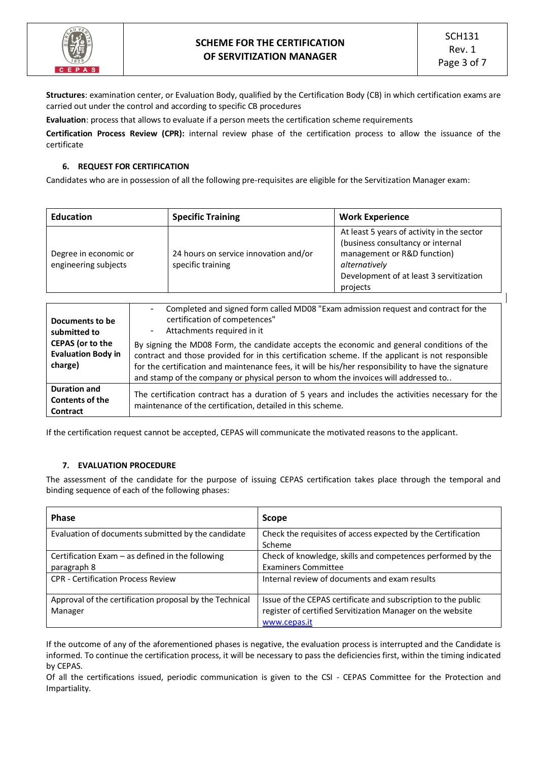

**Structures**: examination center, or Evaluation Body, qualified by the Certification Body (CB) in which certification exams are carried out under the control and according to specific CB procedures

**Evaluation**: process that allows to evaluate if a person meets the certification scheme requirements

**Certification Process Review (CPR):** internal review phase of the certification process to allow the issuance of the certificate

## **6. REQUEST FOR CERTIFICATION**

Candidates who are in possession of all the following pre-requisites are eligible for the Servitization Manager exam:

| <b>Education</b>                              | <b>Specific Training</b>                                         | <b>Work Experience</b>                                                                                                                                                                 |  |
|-----------------------------------------------|------------------------------------------------------------------|----------------------------------------------------------------------------------------------------------------------------------------------------------------------------------------|--|
| Degree in economic or<br>engineering subjects | 24 hours on service innovation and/or<br>specific training       | At least 5 years of activity in the sector<br>(business consultancy or internal<br>management or R&D function)<br>alternatively<br>Development of at least 3 servitization<br>projects |  |
| Documents to be<br>cubmitted to               | ٠<br>certification of competences"<br>Attachments required in it | Completed and signed form called MD08 "Exam admission request and contract for the                                                                                                     |  |

| <b>SUDILILLEU LU</b>                                            |                                                                                                                                                                                                                                                                                                                                                                                              |
|-----------------------------------------------------------------|----------------------------------------------------------------------------------------------------------------------------------------------------------------------------------------------------------------------------------------------------------------------------------------------------------------------------------------------------------------------------------------------|
| <b>CEPAS</b> (or to the<br><b>Evaluation Body in</b><br>charge) | By signing the MD08 Form, the candidate accepts the economic and general conditions of the<br>contract and those provided for in this certification scheme. If the applicant is not responsible<br>for the certification and maintenance fees, it will be his/her responsibility to have the signature<br>and stamp of the company or physical person to whom the invoices will addressed to |
| <b>Duration and</b><br><b>Contents of the</b><br>Contract       | The certification contract has a duration of 5 years and includes the activities necessary for the<br>maintenance of the certification, detailed in this scheme.                                                                                                                                                                                                                             |

If the certification request cannot be accepted, CEPAS will communicate the motivated reasons to the applicant.

#### **7. EVALUATION PROCEDURE**

The assessment of the candidate for the purpose of issuing CEPAS certification takes place through the temporal and binding sequence of each of the following phases:

| <b>Phase</b>                                            | <b>Scope</b>                                                  |
|---------------------------------------------------------|---------------------------------------------------------------|
| Evaluation of documents submitted by the candidate      | Check the requisites of access expected by the Certification  |
|                                                         | Scheme                                                        |
| Certification Exam $-$ as defined in the following      | Check of knowledge, skills and competences performed by the   |
| paragraph 8                                             | <b>Examiners Committee</b>                                    |
| <b>CPR - Certification Process Review</b>               | Internal review of documents and exam results                 |
|                                                         |                                                               |
| Approval of the certification proposal by the Technical | Issue of the CEPAS certificate and subscription to the public |
| Manager                                                 | register of certified Servitization Manager on the website    |
|                                                         | www.cepas.it                                                  |

If the outcome of any of the aforementioned phases is negative, the evaluation process is interrupted and the Candidate is informed. To continue the certification process, it will be necessary to pass the deficiencies first, within the timing indicated by CEPAS.

Of all the certifications issued, periodic communication is given to the CSI - CEPAS Committee for the Protection and Impartiality.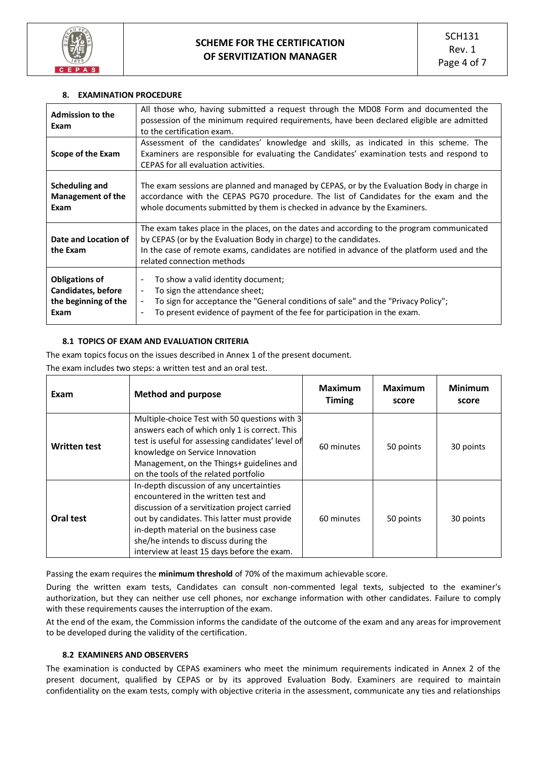

#### **8. EXAMINATION PROCEDURE**

| <b>Admission to the</b><br>Exam                                                    | All those who, having submitted a request through the MD08 Form and documented the<br>possession of the minimum required requirements, have been declared eligible are admitted<br>to the certification exam.                                                                                   |
|------------------------------------------------------------------------------------|-------------------------------------------------------------------------------------------------------------------------------------------------------------------------------------------------------------------------------------------------------------------------------------------------|
| Scope of the Exam                                                                  | Assessment of the candidates' knowledge and skills, as indicated in this scheme. The<br>Examiners are responsible for evaluating the Candidates' examination tests and respond to<br>CEPAS for all evaluation activities.                                                                       |
| Scheduling and<br><b>Management of the</b><br>Exam                                 | The exam sessions are planned and managed by CEPAS, or by the Evaluation Body in charge in<br>accordance with the CEPAS PG70 procedure. The list of Candidates for the exam and the<br>whole documents submitted by them is checked in advance by the Examiners.                                |
| Date and Location of<br>the Exam                                                   | The exam takes place in the places, on the dates and according to the program communicated<br>by CEPAS (or by the Evaluation Body in charge) to the candidates.<br>In the case of remote exams, candidates are notified in advance of the platform used and the<br>related connection methods   |
| <b>Obligations of</b><br><b>Candidates, before</b><br>the beginning of the<br>Exam | To show a valid identity document;<br>$\blacksquare$<br>To sign the attendance sheet;<br>٠<br>To sign for acceptance the "General conditions of sale" and the "Privacy Policy";<br>$\blacksquare$<br>To present evidence of payment of the fee for participation in the exam.<br>$\blacksquare$ |

#### **8.1 TOPICS OF EXAM AND EVALUATION CRITERIA**

The exam topics focus on the issues described in Annex 1 of the present document. The exam includes two steps: a written test and an oral test.

| Exam                | <b>Method and purpose</b>                                                                                                                                                                                                                                                                                        | <b>Maximum</b><br><b>Timing</b> | <b>Maximum</b><br>score | <b>Minimum</b><br>score |
|---------------------|------------------------------------------------------------------------------------------------------------------------------------------------------------------------------------------------------------------------------------------------------------------------------------------------------------------|---------------------------------|-------------------------|-------------------------|
| <b>Written test</b> | Multiple-choice Test with 50 questions with 3<br>answers each of which only 1 is correct. This<br>test is useful for assessing candidates' level of<br>knowledge on Service Innovation<br>Management, on the Things+ guidelines and<br>on the tools of the related portfolio                                     | 60 minutes                      | 50 points               | 30 points               |
| Oral test           | In-depth discussion of any uncertainties<br>encountered in the written test and<br>discussion of a servitization project carried<br>out by candidates. This latter must provide<br>in-depth material on the business case<br>she/he intends to discuss during the<br>interview at least 15 days before the exam. | 60 minutes                      | 50 points               | 30 points               |

Passing the exam requires the **minimum threshold** of 70% of the maximum achievable score.

During the written exam tests, Candidates can consult non-commented legal texts, subjected to the examiner's authorization, but they can neither use cell phones, nor exchange information with other candidates. Failure to comply with these requirements causes the interruption of the exam.

At the end of the exam, the Commission informs the candidate of the outcome of the exam and any areas for improvement to be developed during the validity of the certification.

# **8.2 EXAMINERS AND OBSERVERS**

The examination is conducted by CEPAS examiners who meet the minimum requirements indicated in Annex 2 of the present document, qualified by CEPAS or by its approved Evaluation Body. Examiners are required to maintain confidentiality on the exam tests, comply with objective criteria in the assessment, communicate any ties and relationships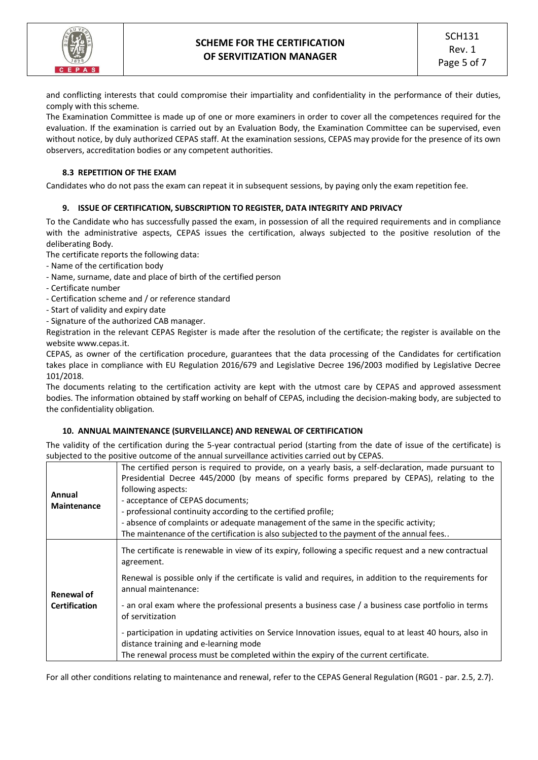

and conflicting interests that could compromise their impartiality and confidentiality in the performance of their duties, comply with this scheme.

The Examination Committee is made up of one or more examiners in order to cover all the competences required for the evaluation. If the examination is carried out by an Evaluation Body, the Examination Committee can be supervised, even without notice, by duly authorized CEPAS staff. At the examination sessions, CEPAS may provide for the presence of its own observers, accreditation bodies or any competent authorities.

## **8.3 REPETITION OF THE EXAM**

Candidates who do not pass the exam can repeat it in subsequent sessions, by paying only the exam repetition fee.

#### **9. ISSUE OF CERTIFICATION, SUBSCRIPTION TO REGISTER, DATA INTEGRITY AND PRIVACY**

To the Candidate who has successfully passed the exam, in possession of all the required requirements and in compliance with the administrative aspects, CEPAS issues the certification, always subjected to the positive resolution of the deliberating Body.

The certificate reports the following data:

- Name of the certification body
- Name, surname, date and place of birth of the certified person
- Certificate number
- Certification scheme and / or reference standard
- Start of validity and expiry date
- Signature of the authorized CAB manager.

Registration in the relevant CEPAS Register is made after the resolution of the certificate; the register is available on the website www.cepas.it.

CEPAS, as owner of the certification procedure, guarantees that the data processing of the Candidates for certification takes place in compliance with EU Regulation 2016/679 and Legislative Decree 196/2003 modified by Legislative Decree 101/2018.

The documents relating to the certification activity are kept with the utmost care by CEPAS and approved assessment bodies. The information obtained by staff working on behalf of CEPAS, including the decision-making body, are subjected to the confidentiality obligation.

#### **10. ANNUAL MAINTENANCE (SURVEILLANCE) AND RENEWAL OF CERTIFICATION**

The validity of the certification during the 5-year contractual period (starting from the date of issue of the certificate) is subjected to the positive outcome of the annual surveillance activities carried out by CEPAS.

| Annual<br><b>Maintenance</b> | The certified person is required to provide, on a yearly basis, a self-declaration, made pursuant to<br>Presidential Decree 445/2000 (by means of specific forms prepared by CEPAS), relating to the<br>following aspects:<br>- acceptance of CEPAS documents;<br>- professional continuity according to the certified profile;<br>- absence of complaints or adequate management of the same in the specific activity;<br>The maintenance of the certification is also subjected to the payment of the annual fees |
|------------------------------|---------------------------------------------------------------------------------------------------------------------------------------------------------------------------------------------------------------------------------------------------------------------------------------------------------------------------------------------------------------------------------------------------------------------------------------------------------------------------------------------------------------------|
|                              | The certificate is renewable in view of its expiry, following a specific request and a new contractual<br>agreement.                                                                                                                                                                                                                                                                                                                                                                                                |
| <b>Renewal of</b>            | Renewal is possible only if the certificate is valid and requires, in addition to the requirements for<br>annual maintenance:                                                                                                                                                                                                                                                                                                                                                                                       |
| <b>Certification</b>         | - an oral exam where the professional presents a business case / a business case portfolio in terms<br>of servitization                                                                                                                                                                                                                                                                                                                                                                                             |
|                              | - participation in updating activities on Service Innovation issues, equal to at least 40 hours, also in<br>distance training and e-learning mode<br>The renewal process must be completed within the expiry of the current certificate.                                                                                                                                                                                                                                                                            |

For all other conditions relating to maintenance and renewal, refer to the CEPAS General Regulation (RG01 - par. 2.5, 2.7).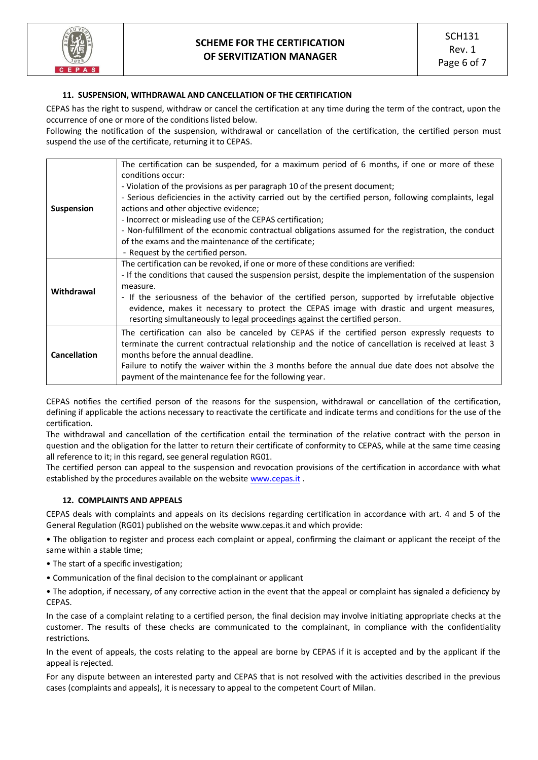

## **11. SUSPENSION, WITHDRAWAL AND CANCELLATION OF THE CERTIFICATION**

CEPAS has the right to suspend, withdraw or cancel the certification at any time during the term of the contract, upon the occurrence of one or more of the conditions listed below.

Following the notification of the suspension, withdrawal or cancellation of the certification, the certified person must suspend the use of the certificate, returning it to CEPAS.

| <b>Suspension</b>   | The certification can be suspended, for a maximum period of 6 months, if one or more of these<br>conditions occur:<br>- Violation of the provisions as per paragraph 10 of the present document;<br>- Serious deficiencies in the activity carried out by the certified person, following complaints, legal<br>actions and other objective evidence;<br>- Incorrect or misleading use of the CEPAS certification;<br>- Non-fulfillment of the economic contractual obligations assumed for the registration, the conduct<br>of the exams and the maintenance of the certificate;<br>- Request by the certified person. |
|---------------------|------------------------------------------------------------------------------------------------------------------------------------------------------------------------------------------------------------------------------------------------------------------------------------------------------------------------------------------------------------------------------------------------------------------------------------------------------------------------------------------------------------------------------------------------------------------------------------------------------------------------|
| Withdrawal          | The certification can be revoked, if one or more of these conditions are verified:<br>- If the conditions that caused the suspension persist, despite the implementation of the suspension<br>measure.<br>- If the seriousness of the behavior of the certified person, supported by irrefutable objective<br>evidence, makes it necessary to protect the CEPAS image with drastic and urgent measures,<br>resorting simultaneously to legal proceedings against the certified person.                                                                                                                                 |
| <b>Cancellation</b> | The certification can also be canceled by CEPAS if the certified person expressly requests to<br>terminate the current contractual relationship and the notice of cancellation is received at least 3<br>months before the annual deadline.<br>Failure to notify the waiver within the 3 months before the annual due date does not absolve the<br>payment of the maintenance fee for the following year.                                                                                                                                                                                                              |

CEPAS notifies the certified person of the reasons for the suspension, withdrawal or cancellation of the certification, defining if applicable the actions necessary to reactivate the certificate and indicate terms and conditions for the use of the certification.

The withdrawal and cancellation of the certification entail the termination of the relative contract with the person in question and the obligation for the latter to return their certificate of conformity to CEPAS, while at the same time ceasing all reference to it; in this regard, see general regulation RG01.

The certified person can appeal to the suspension and revocation provisions of the certification in accordance with what established by the procedures available on the website [www.cepas.it](http://www.cepas.it/).

#### **12. COMPLAINTS AND APPEALS**

CEPAS deals with complaints and appeals on its decisions regarding certification in accordance with art. 4 and 5 of the General Regulation (RG01) published on the website www.cepas.it and which provide:

• The obligation to register and process each complaint or appeal, confirming the claimant or applicant the receipt of the same within a stable time;

- The start of a specific investigation;
- Communication of the final decision to the complainant or applicant

• The adoption, if necessary, of any corrective action in the event that the appeal or complaint has signaled a deficiency by **CEPAS** 

In the case of a complaint relating to a certified person, the final decision may involve initiating appropriate checks at the customer. The results of these checks are communicated to the complainant, in compliance with the confidentiality restrictions.

In the event of appeals, the costs relating to the appeal are borne by CEPAS if it is accepted and by the applicant if the appeal is rejected.

For any dispute between an interested party and CEPAS that is not resolved with the activities described in the previous cases (complaints and appeals), it is necessary to appeal to the competent Court of Milan.